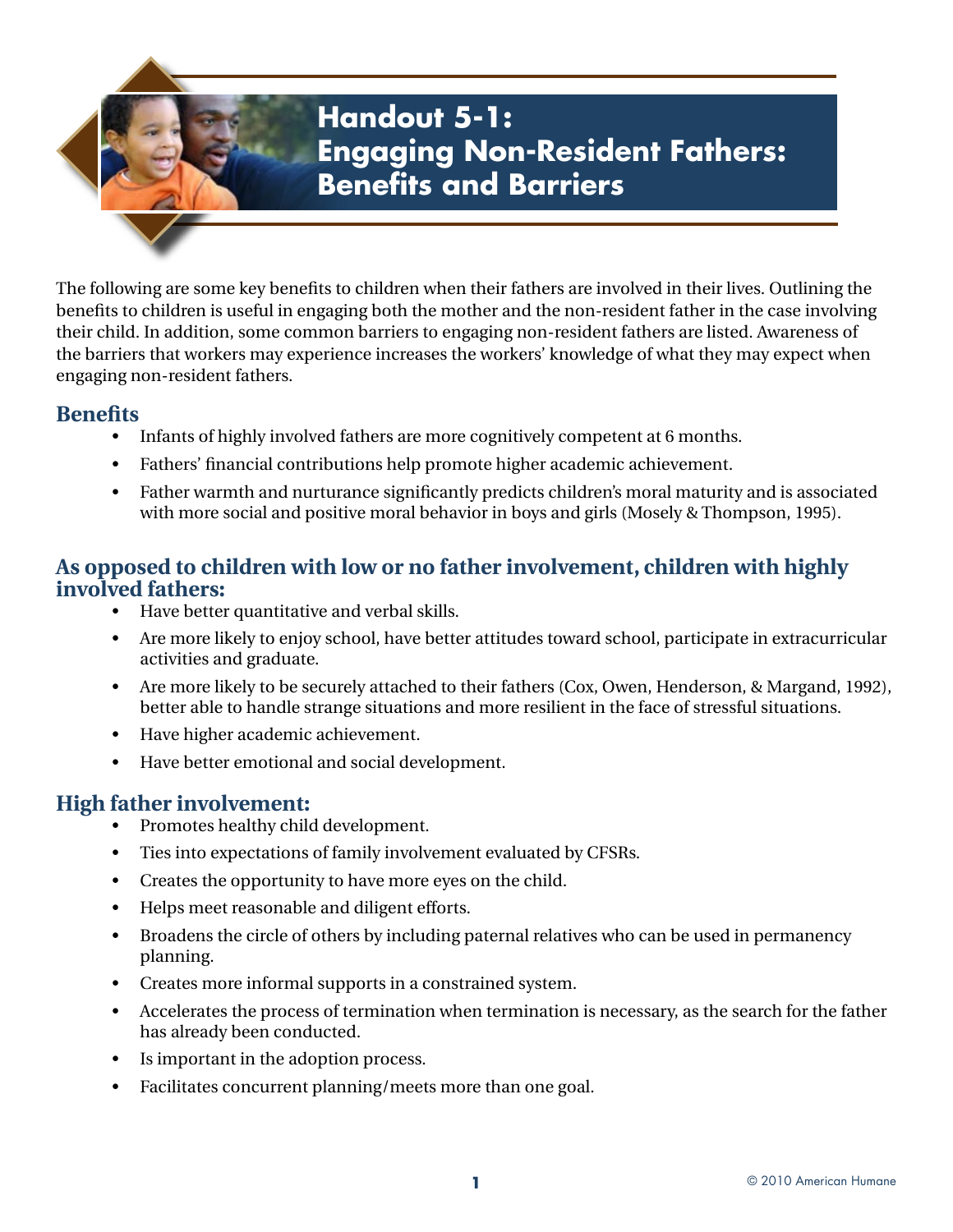## **Handout 5-1: Engaging Non-Resident Fathers: Benefits and Barriers**

The following are some key benefits to children when their fathers are involved in their lives. Outlining the benefits to children is useful in engaging both the mother and the non-resident father in the case involving their child. In addition, some common barriers to engaging non-resident fathers are listed. Awareness of the barriers that workers may experience increases the workers' knowledge of what they may expect when engaging non-resident fathers.

## **Benefits**

- Infants of highly involved fathers are more cognitively competent at 6 months.
- Fathers' financial contributions help promote higher academic achievement.
- Father warmth and nurturance significantly predicts children's moral maturity and is associated with more social and positive moral behavior in boys and girls (Mosely & Thompson, 1995).

## **As opposed to children with low or no father involvement, children with highly involved fathers:**

- Have better quantitative and verbal skills.
- Are more likely to enjoy school, have better attitudes toward school, participate in extracurricular activities and graduate.
- Are more likely to be securely attached to their fathers (Cox, Owen, Henderson, & Margand, 1992), better able to handle strange situations and more resilient in the face of stressful situations.
- Have higher academic achievement.
- Have better emotional and social development.

## **High father involvement:**

- Promotes healthy child development.
- Ties into expectations of family involvement evaluated by CFSRs.
- Creates the opportunity to have more eyes on the child.
- Helps meet reasonable and diligent efforts.
- Broadens the circle of others by including paternal relatives who can be used in permanency planning.
- Creates more informal supports in a constrained system.
- Accelerates the process of termination when termination is necessary, as the search for the father has already been conducted.
- Is important in the adoption process.
- Facilitates concurrent planning/meets more than one goal.